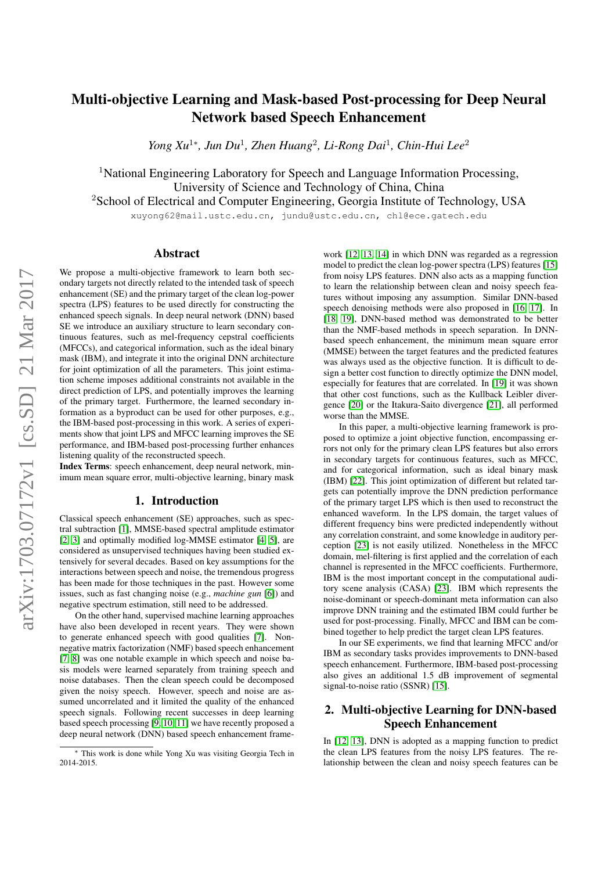# Multi-objective Learning and Mask-based Post-processing for Deep Neural Network based Speech Enhancement

*Yong Xu*<sup>1</sup><sup>∗</sup>, Jun Du<sup>1</sup>, Zhen Huang<sup>2</sup>, Li-Rong Dai<sup>1</sup>, Chin-Hui Lee<sup>2</sup>

<sup>1</sup>National Engineering Laboratory for Speech and Language Information Processing, University of Science and Technology of China, China <sup>2</sup>School of Electrical and Computer Engineering, Georgia Institute of Technology, USA

xuyong62@mail.ustc.edu.cn, jundu@ustc.edu.cn, chl@ece.gatech.edu

# Abstract

We propose a multi-objective framework to learn both secondary targets not directly related to the intended task of speech enhancement (SE) and the primary target of the clean log-power spectra (LPS) features to be used directly for constructing the enhanced speech signals. In deep neural network (DNN) based SE we introduce an auxiliary structure to learn secondary continuous features, such as mel-frequency cepstral coefficients (MFCCs), and categorical information, such as the ideal binary mask (IBM), and integrate it into the original DNN architecture for joint optimization of all the parameters. This joint estimation scheme imposes additional constraints not available in the direct prediction of LPS, and potentially improves the learning of the primary target. Furthermore, the learned secondary information as a byproduct can be used for other purposes, e.g., the IBM-based post-processing in this work. A series of experiments show that joint LPS and MFCC learning improves the SE performance, and IBM-based post-processing further enhances listening quality of the reconstructed speech.

Index Terms: speech enhancement, deep neural network, minimum mean square error, multi-objective learning, binary mask

### 1. Introduction

Classical speech enhancement (SE) approaches, such as spectral subtraction [\[1\]](#page-4-0), MMSE-based spectral amplitude estimator [\[2,](#page-4-1) [3\]](#page-4-2) and optimally modified log-MMSE estimator [\[4,](#page-4-3) [5\]](#page-4-4), are considered as unsupervised techniques having been studied extensively for several decades. Based on key assumptions for the interactions between speech and noise, the tremendous progress has been made for those techniques in the past. However some issues, such as fast changing noise (e.g., *machine gun* [\[6\]](#page-4-5)) and negative spectrum estimation, still need to be addressed.

On the other hand, supervised machine learning approaches have also been developed in recent years. They were shown to generate enhanced speech with good qualities [\[7\]](#page-4-6). Nonnegative matrix factorization (NMF) based speech enhancement [\[7,](#page-4-6) [8\]](#page-4-7) was one notable example in which speech and noise basis models were learned separately from training speech and noise databases. Then the clean speech could be decomposed given the noisy speech. However, speech and noise are assumed uncorrelated and it limited the quality of the enhanced speech signals. Following recent successes in deep learning based speech processing [\[9,](#page-4-8) [10,](#page-4-9) [11\]](#page-4-10) we have recently proposed a deep neural network (DNN) based speech enhancement frame-

work [\[12,](#page-4-11) [13,](#page-4-12) [14\]](#page-4-13) in which DNN was regarded as a regression model to predict the clean log-power spectra (LPS) features [\[15\]](#page-4-14) from noisy LPS features. DNN also acts as a mapping function to learn the relationship between clean and noisy speech features without imposing any assumption. Similar DNN-based speech denoising methods were also proposed in [\[16,](#page-4-15) [17\]](#page-4-16). In [\[18,](#page-4-17) [19\]](#page-4-18), DNN-based method was demonstrated to be better than the NMF-based methods in speech separation. In DNNbased speech enhancement, the minimum mean square error (MMSE) between the target features and the predicted features was always used as the objective function. It is difficult to design a better cost function to directly optimize the DNN model, especially for features that are correlated. In [\[19\]](#page-4-18) it was shown that other cost functions, such as the Kullback Leibler divergence [\[20\]](#page-4-19) or the Itakura-Saito divergence [\[21\]](#page-4-20), all performed worse than the MMSE.

In this paper, a multi-objective learning framework is proposed to optimize a joint objective function, encompassing errors not only for the primary clean LPS features but also errors in secondary targets for continuous features, such as MFCC, and for categorical information, such as ideal binary mask (IBM) [\[22\]](#page-4-21). This joint optimization of different but related targets can potentially improve the DNN prediction performance of the primary target LPS which is then used to reconstruct the enhanced waveform. In the LPS domain, the target values of different frequency bins were predicted independently without any correlation constraint, and some knowledge in auditory perception [\[23\]](#page-4-22) is not easily utilized. Nonetheless in the MFCC domain, mel-filtering is first applied and the correlation of each channel is represented in the MFCC coefficients. Furthermore, IBM is the most important concept in the computational auditory scene analysis (CASA) [\[23\]](#page-4-22). IBM which represents the noise-dominant or speech-dominant meta information can also improve DNN training and the estimated IBM could further be used for post-processing. Finally, MFCC and IBM can be combined together to help predict the target clean LPS features.

In our SE experiments, we find that learning MFCC and/or IBM as secondary tasks provides improvements to DNN-based speech enhancement. Furthermore, IBM-based post-processing also gives an additional 1.5 dB improvement of segmental signal-to-noise ratio (SSNR) [\[15\]](#page-4-14).

# 2. Multi-objective Learning for DNN-based Speech Enhancement

In [\[12,](#page-4-11) [13\]](#page-4-12), DNN is adopted as a mapping function to predict the clean LPS features from the noisy LPS features. The relationship between the clean and noisy speech features can be

<sup>∗</sup> This work is done while Yong Xu was visiting Georgia Tech in 2014-2015.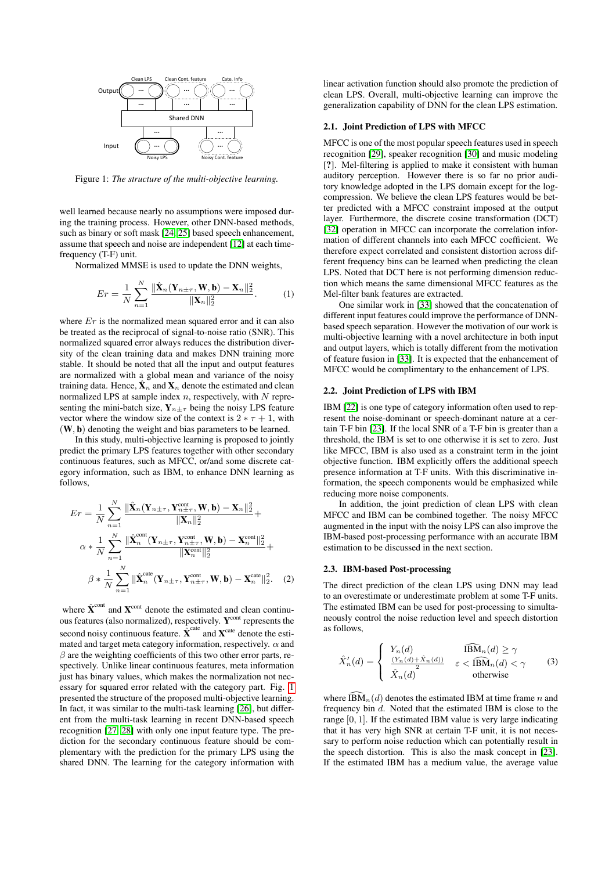

<span id="page-1-0"></span>Figure 1: *The structure of the multi-objective learning.*

well learned because nearly no assumptions were imposed during the training process. However, other DNN-based methods, such as binary or soft mask [\[24,](#page-4-23) [25\]](#page-4-24) based speech enhancement, assume that speech and noise are independent [\[12\]](#page-4-11) at each timefrequency (T-F) unit.

Normalized MMSE is used to update the DNN weights,

$$
Er = \frac{1}{N} \sum_{n=1}^{N} \frac{\|\hat{\mathbf{X}}_n(\mathbf{Y}_{n \pm \tau}, \mathbf{W}, \mathbf{b}) - \mathbf{X}_n\|_2^2}{\|\mathbf{X}_n\|_2^2}.
$$
 (1)

where  $Er$  is the normalized mean squared error and it can also be treated as the reciprocal of signal-to-noise ratio (SNR). This normalized squared error always reduces the distribution diversity of the clean training data and makes DNN training more stable. It should be noted that all the input and output features are normalized with a global mean and variance of the noisy training data. Hence,  $\mathbf{X}_n$  and  $\mathbf{X}_n$  denote the estimated and clean normalized LPS at sample index  $n$ , respectively, with  $N$  representing the mini-batch size,  $Y_{n\pm\tau}$  being the noisy LPS feature vector where the window size of the context is  $2 * \tau + 1$ , with (W, b) denoting the weight and bias parameters to be learned.

In this study, multi-objective learning is proposed to jointly predict the primary LPS features together with other secondary continuous features, such as MFCC, or/and some discrete category information, such as IBM, to enhance DNN learning as follows,

$$
Er = \frac{1}{N} \sum_{n=1}^{N} \frac{\|\hat{\mathbf{X}}_n(\mathbf{Y}_{n\pm\tau}, \mathbf{Y}_{n\pm\tau}^{\text{cont}}, \mathbf{W}, \mathbf{b}) - \mathbf{X}_n\|_2^2}{\|\mathbf{X}_n\|_2^2} + \alpha * \frac{1}{N} \sum_{n=1}^{N} \frac{\|\hat{\mathbf{X}}_n^{\text{cont}}(\mathbf{Y}_{n\pm\tau}, \mathbf{Y}_{n\pm\tau}^{\text{cont}}, \mathbf{W}, \mathbf{b}) - \mathbf{X}_n^{\text{cont}}\|_2^2}{\|\mathbf{X}_n^{\text{cont}}\|_2^2} + \beta * \frac{1}{N} \sum_{n=1}^{N} \|\hat{\mathbf{X}}_n^{\text{cat}}(\mathbf{Y}_{n\pm\tau}, \mathbf{Y}_{n\pm\tau}^{\text{cont}}, \mathbf{W}, \mathbf{b}) - \mathbf{X}_n^{\text{cat}}\|_2^2.
$$
 (2)

where  $\hat{\textbf{X}}^{\text{cont}}$  and  $\textbf{X}^{\text{cont}}$  denote the estimated and clean continuous features (also normalized), respectively. Y<sup>cont</sup> represents the second noisy continuous feature.  $\hat{\textbf{X}}^{\text{cate}}$  and  $\textbf{X}^{\text{cate}}$  denote the estimated and target meta category information, respectively.  $\alpha$  and  $\beta$  are the weighting coefficients of this two other error parts, respectively. Unlike linear continuous features, meta information just has binary values, which makes the normalization not necessary for squared error related with the category part. Fig. [1](#page-1-0) presented the structure of the proposed multi-objective learning. In fact, it was similar to the multi-task learning [\[26\]](#page-4-25), but different from the multi-task learning in recent DNN-based speech recognition [\[27,](#page-4-26) [28\]](#page-4-27) with only one input feature type. The prediction for the secondary continuous feature should be complementary with the prediction for the primary LPS using the shared DNN. The learning for the category information with linear activation function should also promote the prediction of clean LPS. Overall, multi-objective learning can improve the generalization capability of DNN for the clean LPS estimation.

#### <span id="page-1-2"></span>2.1. Joint Prediction of LPS with MFCC

MFCC is one of the most popular speech features used in speech recognition [\[29\]](#page-4-28), speaker recognition [\[30\]](#page-4-29) and music modeling [?]. Mel-filtering is applied to make it consistent with human auditory perception. However there is so far no prior auditory knowledge adopted in the LPS domain except for the logcompression. We believe the clean LPS features would be better predicted with a MFCC constraint imposed at the output layer. Furthermore, the discrete cosine transformation (DCT) [\[32\]](#page-4-30) operation in MFCC can incorporate the correlation information of different channels into each MFCC coefficient. We therefore expect correlated and consistent distortion across different frequency bins can be learned when predicting the clean LPS. Noted that DCT here is not performing dimension reduction which means the same dimensional MFCC features as the Mel-filter bank features are extracted.

One similar work in [\[33\]](#page-4-31) showed that the concatenation of different input features could improve the performance of DNNbased speech separation. However the motivation of our work is multi-objective learning with a novel architecture in both input and output layers, which is totally different from the motivation of feature fusion in [\[33\]](#page-4-31). It is expected that the enhancement of MFCC would be complimentary to the enhancement of LPS.

### 2.2. Joint Prediction of LPS with IBM

IBM [\[22\]](#page-4-21) is one type of category information often used to represent the noise-dominant or speech-dominant nature at a certain T-F bin [\[23\]](#page-4-22). If the local SNR of a T-F bin is greater than a threshold, the IBM is set to one otherwise it is set to zero. Just like MFCC, IBM is also used as a constraint term in the joint objective function. IBM explicitly offers the additional speech presence information at T-F units. With this discriminative information, the speech components would be emphasized while reducing more noise components.

In addition, the joint prediction of clean LPS with clean MFCC and IBM can be combined together. The noisy MFCC augmented in the input with the noisy LPS can also improve the IBM-based post-processing performance with an accurate IBM estimation to be discussed in the next section.

#### <span id="page-1-3"></span>2.3. IBM-based Post-processing

The direct prediction of the clean LPS using DNN may lead to an overestimate or underestimate problem at some T-F units. The estimated IBM can be used for post-processing to simultaneously control the noise reduction level and speech distortion as follows,

<span id="page-1-1"></span>
$$
\hat{X}'_n(d) = \begin{cases}\nY_n(d) & \widehat{\text{IBM}}_n(d) \ge \gamma \\
\frac{(Y_n(d) + \hat{X}_n(d))}{2} & \varepsilon < \widehat{\text{IBM}}_n(d) < \gamma \\
\hat{X}_n(d) & \text{otherwise}\n\end{cases} \tag{3}
$$

where  $\widehat{\text{IBM}}_n(d)$  denotes the estimated IBM at time frame n and frequency bin d. Noted that the estimated IBM is close to the range [0, 1]. If the estimated IBM value is very large indicating that it has very high SNR at certain T-F unit, it is not necessary to perform noise reduction which can potentially result in the speech distortion. This is also the mask concept in [\[23\]](#page-4-22). If the estimated IBM has a medium value, the average value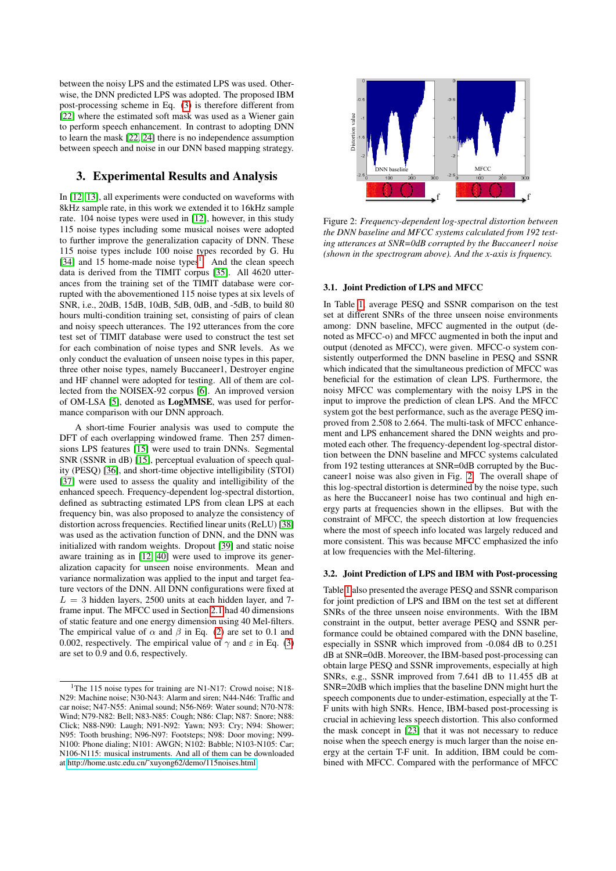between the noisy LPS and the estimated LPS was used. Otherwise, the DNN predicted LPS was adopted. The proposed IBM post-processing scheme in Eq. [\(3\)](#page-1-1) is therefore different from [\[22\]](#page-4-21) where the estimated soft mask was used as a Wiener gain to perform speech enhancement. In contrast to adopting DNN to learn the mask [\[22,](#page-4-21) [24\]](#page-4-23) there is no independence assumption between speech and noise in our DNN based mapping strategy.

# 3. Experimental Results and Analysis

In [\[12,](#page-4-11) [13\]](#page-4-12), all experiments were conducted on waveforms with 8kHz sample rate, in this work we extended it to 16kHz sample rate. 104 noise types were used in [\[12\]](#page-4-11), however, in this study 115 noise types including some musical noises were adopted to further improve the generalization capacity of DNN. These 115 noise types include 100 noise types recorded by G. Hu [\[34\]](#page-4-32) and [1](#page-2-0)5 home-made noise types<sup>1</sup>. And the clean speech data is derived from the TIMIT corpus [\[35\]](#page-4-33). All 4620 utterances from the training set of the TIMIT database were corrupted with the abovementioned 115 noise types at six levels of SNR, i.e., 20dB, 15dB, 10dB, 5dB, 0dB, and -5dB, to build 80 hours multi-condition training set, consisting of pairs of clean and noisy speech utterances. The 192 utterances from the core test set of TIMIT database were used to construct the test set for each combination of noise types and SNR levels. As we only conduct the evaluation of unseen noise types in this paper, three other noise types, namely Buccaneer1, Destroyer engine and HF channel were adopted for testing. All of them are collected from the NOISEX-92 corpus [\[6\]](#page-4-5). An improved version of OM-LSA [\[5\]](#page-4-4), denoted as LogMMSE, was used for performance comparison with our DNN approach.

A short-time Fourier analysis was used to compute the DFT of each overlapping windowed frame. Then 257 dimensions LPS features [\[15\]](#page-4-14) were used to train DNNs. Segmental SNR (SSNR in dB) [\[15\]](#page-4-14), perceptual evaluation of speech quality (PESQ) [\[36\]](#page-4-34), and short-time objective intelligibility (STOI) [\[37\]](#page-4-35) were used to assess the quality and intelligibility of the enhanced speech. Frequency-dependent log-spectral distortion, defined as subtracting estimated LPS from clean LPS at each frequency bin, was also proposed to analyze the consistency of distortion across frequencies. Rectified linear units (ReLU) [\[38\]](#page-4-36) was used as the activation function of DNN, and the DNN was initialized with random weights. Dropout [\[39\]](#page-4-37) and static noise aware training as in [\[12,](#page-4-11) [40\]](#page-4-38) were used to improve its generalization capacity for unseen noise environments. Mean and variance normalization was applied to the input and target feature vectors of the DNN. All DNN configurations were fixed at  $L = 3$  hidden layers, 2500 units at each hidden layer, and 7frame input. The MFCC used in Section [2.1](#page-1-2) had 40 dimensions of static feature and one energy dimension using 40 Mel-filters. The empirical value of  $\alpha$  and  $\beta$  in Eq. [\(2\)](#page-1-3) are set to 0.1 and 0.002, respectively. The empirical value of  $\gamma$  and  $\varepsilon$  in Eq. [\(3\)](#page-1-1) are set to 0.9 and 0.6, respectively.



<span id="page-2-1"></span>Figure 2: *Frequency-dependent log-spectral distortion between the DNN baseline and MFCC systems calculated from 192 testing utterances at SNR=0dB corrupted by the Buccaneer1 noise (shown in the spectrogram above). And the x-axis is frquency.*

### 3.1. Joint Prediction of LPS and MFCC

In Table [1,](#page-3-0) average PESQ and SSNR comparison on the test set at different SNRs of the three unseen noise environments among: DNN baseline, MFCC augmented in the output (denoted as MFCC-o) and MFCC augmented in both the input and output (denoted as MFCC), were given. MFCC-o system consistently outperformed the DNN baseline in PESO and SSNR which indicated that the simultaneous prediction of MFCC was beneficial for the estimation of clean LPS. Furthermore, the noisy MFCC was complementary with the noisy LPS in the input to improve the prediction of clean LPS. And the MFCC system got the best performance, such as the average PESQ improved from 2.508 to 2.664. The multi-task of MFCC enhancement and LPS enhancement shared the DNN weights and promoted each other. The frequency-dependent log-spectral distortion between the DNN baseline and MFCC systems calculated from 192 testing utterances at SNR=0dB corrupted by the Buccaneer1 noise was also given in Fig. [2.](#page-2-1) The overall shape of this log-spectral distortion is determined by the noise type, such as here the Buccaneer1 noise has two continual and high energy parts at frequencies shown in the ellipses. But with the constraint of MFCC, the speech distortion at low frequencies where the most of speech info located was largely reduced and more consistent. This was because MFCC emphasized the info at low frequencies with the Mel-filtering.

### 3.2. Joint Prediction of LPS and IBM with Post-processing

Table [1](#page-3-0) also presented the average PESQ and SSNR comparison for joint prediction of LPS and IBM on the test set at different SNRs of the three unseen noise environments. With the IBM constraint in the output, better average PESQ and SSNR performance could be obtained compared with the DNN baseline, especially in SSNR which improved from -0.084 dB to 0.251 dB at SNR=0dB. Moreover, the IBM-based post-processing can obtain large PESQ and SSNR improvements, especially at high SNRs, e.g., SSNR improved from 7.641 dB to 11.455 dB at SNR=20dB which implies that the baseline DNN might hurt the speech components due to under-estimation, especially at the T-F units with high SNRs. Hence, IBM-based post-processing is crucial in achieving less speech distortion. This also conformed the mask concept in [\[23\]](#page-4-22) that it was not necessary to reduce noise when the speech energy is much larger than the noise energy at the certain T-F unit. In addition, IBM could be combined with MFCC. Compared with the performance of MFCC

<span id="page-2-0"></span><sup>&</sup>lt;sup>1</sup>The 115 noise types for training are N1-N17: Crowd noise: N18-N29: Machine noise; N30-N43: Alarm and siren; N44-N46: Traffic and car noise; N47-N55: Animal sound; N56-N69: Water sound; N70-N78: Wind; N79-N82: Bell; N83-N85: Cough; N86: Clap; N87: Snore; N88: Click; N88-N90: Laugh; N91-N92: Yawn; N93: Cry; N94: Shower; N95: Tooth brushing; N96-N97: Footsteps; N98: Door moving; N99- N100: Phone dialing; N101: AWGN; N102: Babble; N103-N105: Car; N106-N115: musical instruments. And all of them can be downloaded at [http://home.ustc.edu.cn/˜xuyong62/demo/115noises.html](http://home.ustc.edu.cn/~xuyong62/demo/115noises.html)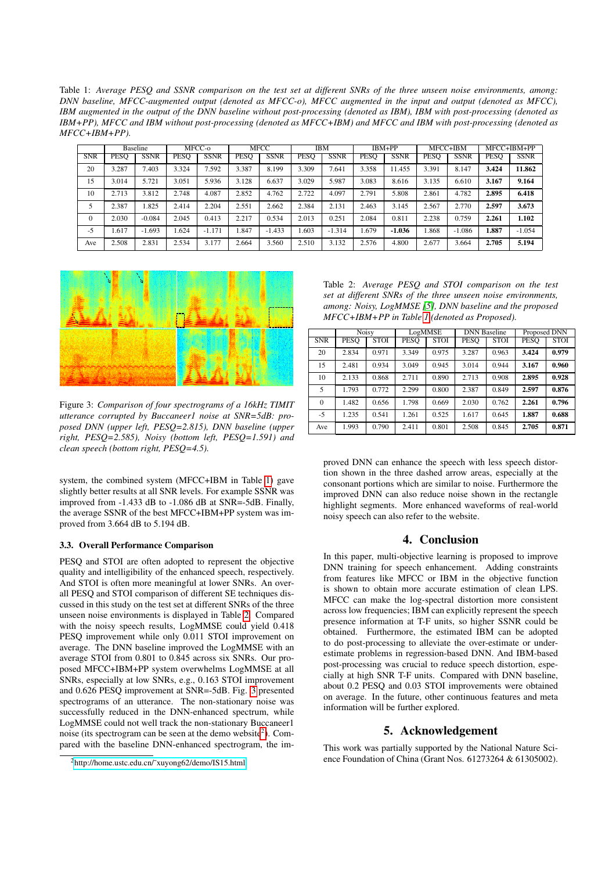<span id="page-3-0"></span>Table 1: *Average PESQ and SSNR comparison on the test set at different SNRs of the three unseen noise environments, among: DNN baseline, MFCC-augmented output (denoted as MFCC-o), MFCC augmented in the input and output (denoted as MFCC), IBM augmented in the output of the DNN baseline without post-processing (denoted as IBM), IBM with post-processing (denoted as IBM+PP), MFCC and IBM without post-processing (denoted as MFCC+IBM) and MFCC and IBM with post-processing (denoted as MFCC+IBM+PP).*

|            | <b>Baseline</b> |             | MFCC-0 |             | <b>MFCC</b> |             | IBM         |             | IBM+PP      |             | MFCC+IBM |             | MFCC+IBM+PP |             |
|------------|-----------------|-------------|--------|-------------|-------------|-------------|-------------|-------------|-------------|-------------|----------|-------------|-------------|-------------|
| <b>SNR</b> | <b>PESO</b>     | <b>SSNR</b> | PESO   | <b>SSNR</b> | <b>PESQ</b> | <b>SSNR</b> | <b>PESO</b> | <b>SSNR</b> | <b>PESO</b> | <b>SSNR</b> | PESO     | <b>SSNR</b> | <b>PESQ</b> | <b>SSNR</b> |
| 20         | 3.287           | 7.403       | 3.324  | 7.592       | 3.387       | 8.199       | 3.309       | 7.641       | 3.358       | 1.455       | 3.391    | 8.147       | 3.424       | 11.862      |
| 15         | 3.014           | 5.721       | 3.051  | 5.936       | 3.128       | 6.637       | 3.029       | 5.987       | 3.083       | 8.616       | 3.135    | 6.610       | 3.167       | 9.164       |
| 10         | 2.713           | 3.812       | 2.748  | 4.087       | 2.852       | 4.762       | 2.722       | 4.097       | 2.791       | 5.808       | 2.861    | 4.782       | 2.895       | 6.418       |
|            | 2.387           | 1.825       | 2.414  | 2.204       | 2.551       | 2.662       | 2.384       | 2.131       | 2.463       | 3.145       | 2.567    | 2.770       | 2.597       | 3.673       |
| $\Omega$   | 2.030           | $-0.084$    | 2.045  | 0.413       | 2.217       | 0.534       | 2.013       | 0.251       | 2.084       | 0.811       | 2.238    | 0.759       | 2.261       | 1.102       |
| $-5$       | 1.617           | $-1.693$    | 1.624  | $-1.171$    | 1.847       | $-1.433$    | 1.603       | $-1.314$    | 1.679       | $-1.036$    | 1.868    | $-1.086$    | 1.887       | $-1.054$    |
| Ave        | 2.508           | 2.831       | 2.534  | 3.177       | 2.664       | 3.560       | 2.510       | 3.132       | 2.576       | 4.800       | 2.677    | 3.664       | 2.705       | 5.194       |



<span id="page-3-2"></span>Figure 3: *Comparison of four spectrograms of a 16kHz TIMIT utterance corrupted by Buccaneer1 noise at SNR=5dB: proposed DNN (upper left, PESQ=2.815), DNN baseline (upper right, PESQ=2.585), Noisy (bottom left, PESQ=1.591) and clean speech (bottom right, PESQ=4.5).*

system, the combined system (MFCC+IBM in Table [1\)](#page-3-0) gave slightly better results at all SNR levels. For example SSNR was improved from -1.433 dB to -1.086 dB at SNR=-5dB. Finally, the average SSNR of the best MFCC+IBM+PP system was improved from 3.664 dB to 5.194 dB.

### 3.3. Overall Performance Comparison

PESQ and STOI are often adopted to represent the objective quality and intelligibility of the enhanced speech, respectively. And STOI is often more meaningful at lower SNRs. An overall PESQ and STOI comparison of different SE techniques discussed in this study on the test set at different SNRs of the three unseen noise environments is displayed in Table [2.](#page-3-1) Compared with the noisy speech results, LogMMSE could yield 0.418 PESQ improvement while only 0.011 STOI improvement on average. The DNN baseline improved the LogMMSE with an average STOI from 0.801 to 0.845 across six SNRs. Our proposed MFCC+IBM+PP system overwhelms LogMMSE at all SNRs, especially at low SNRs, e.g., 0.163 STOI improvement and 0.626 PESQ improvement at SNR=-5dB. Fig. [3](#page-3-2) presented spectrograms of an utterance. The non-stationary noise was successfully reduced in the DNN-enhanced spectrum, while LogMMSE could not well track the non-stationary Buccaneer1 noise (its spectrogram can be seen at the demo website $2$ ). Compared with the baseline DNN-enhanced spectrogram, the im-

<span id="page-3-1"></span>Table 2: *Average PESQ and STOI comparison on the test set at different SNRs of the three unseen noise environments, among: Noisy, LogMMSE [\[5\]](#page-4-4), DNN baseline and the proposed MFCC+IBM+PP in Table [1](#page-3-0) (denoted as Proposed).*

|            | <b>Noisy</b> |             | LogMMSE     |             | <b>DNN</b> Baseline |             | Proposed DNN |             |  |
|------------|--------------|-------------|-------------|-------------|---------------------|-------------|--------------|-------------|--|
| <b>SNR</b> | <b>PESO</b>  | <b>STOI</b> | <b>PESO</b> | <b>STOI</b> | <b>PESO</b>         | <b>STOI</b> | <b>PESO</b>  | <b>STOI</b> |  |
| 20         | 2.834        | 0.971       | 3.349       | 0.975       | 3.287               | 0.963       | 3.424        | 0.979       |  |
| 15         | 2.481        | 0.934       | 3.049       | 0.945       | 3.014               | 0.944       | 3.167        | 0.960       |  |
| 10         | 2.133        | 0.868       | 2.711       | 0.890       | 2.713               | 0.908       | 2.895        | 0.928       |  |
| 5          | 1.793        | 0.772       | 2.299       | 0.800       | 2.387               | 0.849       | 2.597        | 0.876       |  |
| $\Omega$   | 1.482        | 0.656       | 1.798       | 0.669       | 2.030               | 0.762       | 2.261        | 0.796       |  |
| $-5$       | 1.235        | 0.541       | 1.261       | 0.525       | 1.617               | 0.645       | 1.887        | 0.688       |  |
| Ave        | 1.993        | 0.790       | 2.411       | 0.801       | 2.508               | 0.845       | 2.705        | 0.871       |  |

proved DNN can enhance the speech with less speech distortion shown in the three dashed arrow areas, especially at the consonant portions which are similar to noise. Furthermore the improved DNN can also reduce noise shown in the rectangle highlight segments. More enhanced waveforms of real-world noisy speech can also refer to the website.

### 4. Conclusion

In this paper, multi-objective learning is proposed to improve DNN training for speech enhancement. Adding constraints from features like MFCC or IBM in the objective function is shown to obtain more accurate estimation of clean LPS. MFCC can make the log-spectral distortion more consistent across low frequencies; IBM can explicitly represent the speech presence information at T-F units, so higher SSNR could be obtained. Furthermore, the estimated IBM can be adopted to do post-processing to alleviate the over-estimate or underestimate problems in regression-based DNN. And IBM-based post-processing was crucial to reduce speech distortion, especially at high SNR T-F units. Compared with DNN baseline, about 0.2 PESQ and 0.03 STOI improvements were obtained on average. In the future, other continuous features and meta information will be further explored.

## 5. Acknowledgement

This work was partially supported by the National Nature Science Foundation of China (Grant Nos. 61273264 & 61305002).

<span id="page-3-3"></span><sup>2</sup>[http://home.ustc.edu.cn/˜xuyong62/demo/IS15.html](http://home.ustc.edu.cn/~xuyong62/demo/IS15.html)